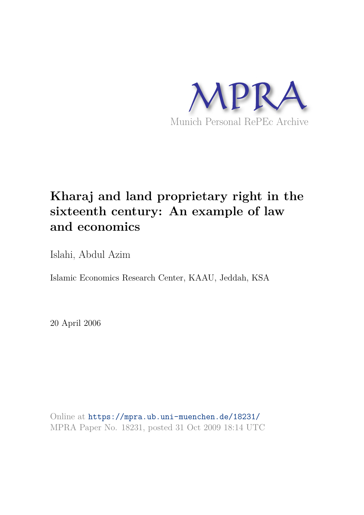

# **Kharaj and land proprietary right in the sixteenth century: An example of law and economics**

Islahi, Abdul Azim

Islamic Economics Research Center, KAAU, Jeddah, KSA

20 April 2006

Online at https://mpra.ub.uni-muenchen.de/18231/ MPRA Paper No. 18231, posted 31 Oct 2009 18:14 UTC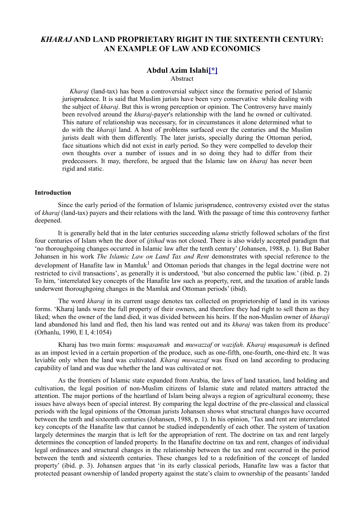## *KHARAJ* **AND LAND PROPRIETARY RIGHT IN THE SIXTEENTH CENTURY: AN EXAMPLE OF LAW AND ECONOMICS**

### **Abdul Azim Islahi[\*]**

Abstract

 *Kharaj* (land-tax) has been a controversial subject since the formative period of Islamic jurisprudence. It is said that Muslim jurists have been very conservative while dealing with the subject of *kharaj*. But this is wrong perception or opinion. The Controversy have mainly been revolved around the *kharaj*-payer's relationship with the land he owned or cultivated. This nature of relationship was necessary, for in circumstances it alone determined what to do with the *kharaji* land. A host of problems surfaced over the centuries and the Muslim jurists dealt with them differently. The later jurists, specially during the Ottoman period, face situations which did not exist in early period. So they were compelled to develop their own thoughts over a number of issues and in so doing they had to differ from their predecessors. It may, therefore, be argued that the Islamic law on *kharaj* has never been rigid and static.

#### **Introduction**

 Since the early period of the formation of Islamic jurisprudence, controversy existed over the status of *kharaj* (land-tax) payers and their relations with the land. With the passage of time this controversy further deepened.

 It is generally held that in the later centuries succeeding *ulama* strictly followed scholars of the first four centuries of Islam when the door of *ijtihad* was not closed. There is also widely accepted paradigm that 'no thoroughgoing changes occurred in Islamic law after the tenth century' (Johansen, 1988, p. 1). But Baber Johansen in his work *The Islamic Law on Land Tax and Rent* demonstrates with special reference to the development of Hanafite law in Mamluk<sup>1</sup> and Ottoman periods that changes in the legal doctrine were not restricted to civil transactions', as generally it is understood, 'but also concerned the public law.' (ibid. p. 2) To him, 'interrelated key concepts of the Hanafite law such as property, rent, and the taxation of arable lands underwent thoroughgoing changes in the Mamluk and Ottoman periods' (ibid).

 The word *kharaj* in its current usage denotes tax collected on proprietorship of land in its various forms. 'Kharaj lands were the full property of their owners, and therefore they had right to sell them as they liked; when the owner of the land died, it was divided between his heirs. If the non-Muslim owner of *kharaji*  land abandoned his land and fled, then his land was rented out and its *kharaj* was taken from its produce' (Orhanlu, 1990, E I, 4:1054)

 Kharaj has two main forms: *muqasamah* and *muwazzaf* or *wazifah*. *Kharaj muqasamah* is defined as an impost levied in a certain proportion of the produce, such as one-fifth, one-fourth, one-third etc. It was leviable only when the land was cultivated. *Kharaj muwazzaf* was fixed on land according to producing capability of land and was due whether the land was cultivated or not.

 As the frontiers of Islamic state expanded from Arabia, the laws of land taxation, land holding and cultivation, the legal position of non-Muslim citizens of Islamic state and related matters attracted the attention. The major portions of the heartland of Islam being always a region of agricultural economy, these issues have always been of special interest. By comparing the legal doctrine of the pre-classical and classical periods with the legal opinions of the Ottoman jurists Johansen shows what structural changes have occurred between the tenth and sixteenth centuries (Johansen, 1988, p. 1). In his opinion, 'Tax and rent are interrelated key concepts of the Hanafite law that cannot be studied independently of each other. The system of taxation largely determines the margin that is left for the appropriation of rent. The doctrine on tax and rent largely determines the conception of landed property. In the Hanafite doctrine on tax and rent, changes of individual legal ordinances and structural changes in the relationship between the tax and rent occurred in the period between the tenth and sixteenth centuries. These changes led to a redefinition of the concept of landed property' (ibid. p. 3). Johansen argues that 'in its early classical periods, Hanafite law was a factor that protected peasant ownership of landed property against the state's claim to ownership of the peasants' landed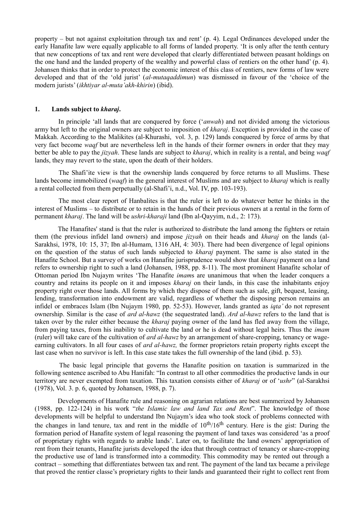property – but not against exploitation through tax and rent' (p. 4). Legal Ordinances developed under the early Hanafite law were equally applicable to all forms of landed property. 'It is only after the tenth century that new conceptions of tax and rent were developed that clearly differentiated between peasant holdings on the one hand and the landed property of the wealthy and powerful class of rentiers on the other hand' (p. 4). Johansen thinks that in order to protect the economic interest of this class of rentiers, new forms of law were developed and that of the 'old jurist' (*al-mutaqaddimun*) was dismissed in favour of the 'choice of the modern jurists' (*ikhtiyar al-muta'akh-khirin*) (ibid).

#### **1. Lands subject to** *kharaj***.**

 In principle 'all lands that are conquered by force ('*anwah*) and not divided among the victorious army but left to the original owners are subject to imposition of *kharaj*. Exception is provided in the case of Makkah. According to the Malikites (al-Khurashi, vol. 3, p. 129) lands conquered by force of arms by that very fact become *waqf* but are nevertheless left in the hands of their former owners in order that they may better be able to pay the *jizyah*. These lands are subject to *kharaj*, which in reality is a rental, and being *waqf*  lands, they may revert to the state, upon the death of their holders.

 The Shafi'ite view is that the ownership lands conquered by force returns to all Muslims. These lands become immobilized (*waqf*) in the general interest of Muslims and are subject to *kharaj* which is really a rental collected from them perpetually (al-Shafi'i, n.d., Vol. IV, pp. 103-193).

 The most clear report of Hanbalites is that the ruler is left to do whatever better he thinks in the interest of Muslims – to distribute or to retain in the hands of their previous owners at a rental in the form of permanent *kharaj*. The land will be *ushri-kharaji* land (Ibn al-Qayyim, n.d., 2: 173).

 The Hanafites' stand is that the ruler is authorized to distribute the land among the fighters or retain them (the previous infidel land owners) and impose *jizyah* on their heads and *kharaj* on the lands (al-Sarakhsi, 1978, 10: 15, 37; Ibn al-Humam, 1316 AH, 4: 303). There had been divergence of legal opinions on the question of the status of such lands subjected to *kharaj* payment. The same is also stated in the Hanafite School. But a survey of works on Hanafite jurisprudence would show that *kharaj* payment on a land refers to ownership right to such a land (Johansen, 1988, pp. 8-11). The most prominent Hanafite scholar of Ottoman period Ibn Nujaym writes 'The Hanafite *imam*s are unanimous that when the leader conquers a country and retains its people on it and imposes *kharaj* on their lands, in this case the inhabitants enjoy property right over those lands. All forms by which they dispose of them such as sale, gift, bequest, leasing, lending, transformation into endowment are valid, regardless of whether the disposing person remains an infidel or embraces Islam (Ibn Nujaym 1980, pp. 52-53). However, lands granted as *iqta'* do not represent ownership. Similar is the case of *ard al-hawz* (the sequestrated land). *Ard al-hawz* refers to the land that is taken over by the ruler either because the *kharaj* paying owner of the land has fled away from the village, from paying taxes, from his inability to cultivate the land or he is dead without legal heirs. Thus the *imam*  (ruler) will take care of the cultivation of *ard al-hawz* by an arrangement of share-cropping, tenancy or wageearning cultivators. In all four cases of *ard al-hawz,* the former proprietors retain property rights except the last case when no survivor is left. In this case state takes the full ownership of the land (ibid. p. 53).

 The basic legal principle that governs the Hanafite position on taxation is summarized in the following sentence ascribed to Abu Hanifah: "In contrast to all other commodities the productive lands in our territory are never exempted from taxation. This taxation consists either of *kharaj* or of '*ushr*" (al-Sarakhsi (1978), Vol. 3. p. 6, quoted by Johansen, 1988, p. 7).

 Developments of Hanafite rule and reasoning on agrarian relations are best summerized by Johansen (1988, pp. 122-124) in his work "*the Islamic law and land Tax and Rent*". The knowledge of those developments will be helpful to understand Ibn Nujaym's idea who took stock of problems connected with the changes in land tenure, tax and rent in the middle of  $10^{th}/16^{th}$  century. Here is the gist: During the formation period of Hanafite system of legal reasoning the payment of land taxes was considered 'as a proof of proprietary rights with regards to arable lands'. Later on, to facilitate the land owners' appropriation of rent from their tenants, Hanafite jurists developed the idea that through contract of tenancy or share-cropping the productive use of land is transformed into a commodity. This commodity may be rented out through a contract – something that differentiates between tax and rent. The payment of the land tax became a privilege that proved the rentier classe's proprietary rights to their lands and guaranteed their right to collect rent from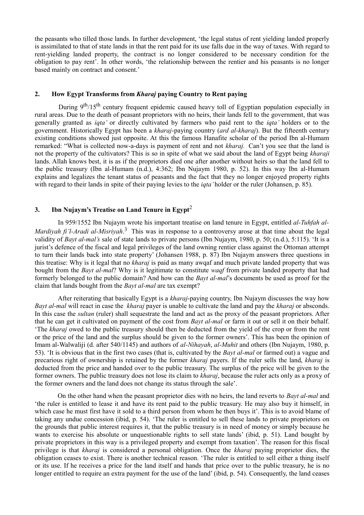the peasants who tilled those lands. In further development, 'the legal status of rent yielding landed properly is assimilated to that of state lands in that the rent paid for its use falls due in the way of taxes. With regard to rent-yielding landed property, the contract is no longer considered to be necessary condition for the obligation to pay rent'. In other words, 'the relationship between the rentier and his peasants is no longer based mainly on contract and consent.'

#### **2. How Egypt Transforms from** *Kharaj* **paying Country to Rent paying**

During 9<sup>th</sup>/15<sup>th</sup> century frequent epidemic caused heavy toll of Egyptian population especially in rural areas. Due to the death of peasant proprietors with no heirs, their lands fell to the government, that was generally granted as *iqta'* or directly cultivated by farmers who paid rent to the *iqta'* holders or to the government. Historically Egypt has been a *kharaj*-paying country (*ard al-kharaj*). But the fifteenth century existing conditions showed just opposite. At this the famous Hanafite scholar of the period Ibn al-Humam remarked: "What is collected now-a-days is payment of rent and not *kharaj.* Can't you see that the land is not the property of the cultivators? This is so in spite of what we said about the land of Egypt being *kharaji*  lands. Allah knows best, it is as if the proprietors died one after another without heirs so that the land fell to the public treasury (Ibn al-Humam (n.d.), 4:362; Ibn Nujaym 1980, p. 52). In this way Ibn al-Humam explains and legalizes the tenant status of peasants and the fact that they no longer enjoyed property rights with regard to their lands in spite of their paying levies to the *iqta'* holder or the ruler (Johansen, p. 85).

### **3. Ibn Nujaym's Treatise on Land Tenure in Egypt**<sup>2</sup>

 In 959/1552 Ibn Nujaym wrote his important treatise on land tenure in Egypt, entitled *al-Tuhfah al-Mardiyah fi'l-Aradi al-Misriyah*. 3 This was in response to a controversy arose at that time about the legal validity of *Bayt al-mal's* sale of state lands to private persons (Ibn Nujaym, 1980, p. 50; (n.d.), 5:115). 'It is a jurist's defence of the fiscal and legal privileges of the land owning rentier class against the Ottoman attempt to turn their lands back into state property' (Johansen 1988, p. 87) Ibn Nujaym answers three questions in this treatise: Why is it legal that no *kharaj* is paid as many awqaf and much private landed property that was bought from the *Bayt al-mal*? Why is it legitimate to constitute *waqf* from private landed property that had formerly belonged to the public domain? And how can the *Bayt al-mal*'s documents be used as proof for the claim that lands bought from the *Bayt al-mal* are tax exempt?

 After reiterating that basically Egypt is a *kharaj*-paying country, Ibn Nujaym discusses the way how *Bayt al-mal* will react in case the *kharaj* payer is unable to cultivate the land and pay the *kharaj* or absconds. In this case the *sultan* (ruler) shall sequestrate the land and act as the proxy of the peasant proprietors. After that he can get it cultivated on payment of the cost from *Bayt al-mal* or farm it out or sell it on their behalf. 'The *kharaj* owed to the public treasury should then be deducted from the yield of the crop or from the rent or the price of the land and the surplus should be given to the former owners'. This has been the opinion of Imam al-Walwaliji (d. after 540/1145) and authors of *al-Nihayah*, *al-Muhit* and others (Ibn Nujaym, 1980, p. 53). 'It is obvious that in the first two cases (that is, cultivated by the *Bayt al-mal* or farmed out) a vague and precarious right of ownership is retained by the former *kharaj* payers. If the ruler sells the land, *kharaj* is deducted from the price and handed over to the public treasury. The surplus of the price will be given to the former owners. The public treasury does not lose its claim to *kharaj*, because the ruler acts only as a proxy of the former owners and the land does not change its status through the sale'.

 On the other hand when the peasant proprietor dies with no heirs, the land reverts to *Bayt al-mal* and 'the ruler is entitled to lease it and have its rent paid to the public treasury. He may also buy it himself, in which case he must first have it sold to a third person from whom he then buys it'. This is to avoid blame of taking any undue concession (ibid, p. 54). 'The ruler is entitled to sell these lands to private proprietors on the grounds that public interest requires it, that the public treasury is in need of money or simply because he wants to exercise his absolute or unquestionable rights to sell state lands' (ibid, p. 51). Land bought by private proprietors in this way is a privileged property and exempt from taxation'. The reason for this fiscal privilege is that *kharaj* is considered a personal obligation. Once the *kharaj* paying proprietor dies, the obligation ceases to exist. There is another technical reason. 'The ruler is entitled to sell either a thing itself or its use. If he receives a price for the land itself and hands that price over to the public treasury, he is no longer entitled to require an extra payment for the use of the land' (ibid, p. 54). Consequently, the land ceases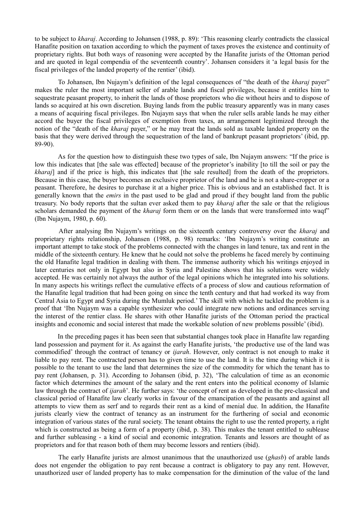to be subject to *kharaj*. According to Johansen (1988, p. 89): 'This reasoning clearly contradicts the classical Hanafite position on taxation according to which the payment of taxes proves the existence and continuity of proprietary rights. But both ways of reasoning were accepted by the Hanafite jurists of the Ottoman period and are quoted in legal compendia of the seventeenth country'. Johansen considers it 'a legal basis for the fiscal privileges of the landed property of the rentier' (ibid).

 To Johansen, Ibn Nujaym's definition of the legal consequences of "the death of the *kharaj* payer" makes the ruler the most important seller of arable lands and fiscal privileges, because it entitles him to sequestrate peasant property, to inherit the lands of those proprietors who die without heirs and to dispose of lands so acquired at his own discretion. Buying lands from the public treasury apparently was in many cases a means of acquiring fiscal privileges. Ibn Nujaym says that when the ruler sells arable lands he may either accord the buyer the fiscal privileges of exemption from taxes, an arrangement legitimized through the notion of the "death of the *kharaj* payer," or he may treat the lands sold as taxable landed property on the basis that they were derived through the sequestration of the land of bankrupt peasant proprietors' (ibid, pp. 89-90).

 As for the question how to distinguish these two types of sale, Ibn Nujaym answers: "If the price is low this indicates that [the sale was effected] because of the proprietor's inability [to till the soil or pay the *kharaj*] and if the price is high, this indicates that [the sale resulted] from the death of the proprietors. Because in this case, the buyer becomes an exclusive proprietor of the land and he is not a share-cropper or a peasant. Therefore, he desires to purchase it at a higher price. This is obvious and an established fact. It is generally known that the *emirs* in the past used to be glad and proud if they bought land from the public treasury. No body reports that the sultan ever asked them to pay *kharaj* after the sale or that the religious scholars demanded the payment of the *kharaj* form them or on the lands that were transformed into waqf" (Ibn Nujaym, 1980, p. 60).

 After analysing Ibn Nujaym's writings on the sixteenth century controversy over the *kharaj* and proprietary rights relationship, Johansen (1988, p. 98) remarks: 'Ibn Nujaym's writing constitute an important attempt to take stock of the problems connected with the changes in land tenure, tax and rent in the middle of the sixteenth century. He knew that he could not solve the problems he faced merely by continuing the old Hanafite legal tradition in dealing with them. The immense authority which his writings enjoyed in later centuries not only in Egypt but also in Syria and Palestine shows that his solutions were widely accepted. He was certainly not always the author of the legal opinions which he integrated into his solutions. In many aspects his writings reflect the cumulative effects of a process of slow and cautious reformation of the Hanafite legal tradition that had been going on since the tenth century and that had worked its way from Central Asia to Egypt and Syria during the Mumluk period.' The skill with which he tackled the problem is a proof that 'Ibn Nujaym was a capable synthesizer who could integrate new notions and ordinances serving the interest of the rentier class. He shares with other Hanafite jurists of the Ottoman period the practical insights and economic and social interest that made the workable solution of new problems possible' (ibid).

 In the preceding pages it has been seen that substantial changes took place in Hanafite law regarding land possession and payment for it. As against the early Hanafite jurists, 'the productive use of the land was commodified' through the contract of tenancy or *ijarah*. However, only contract is not enough to make it liable to pay rent. The contracted person has to given time to use the land. It is the time during which it is possible to the tenant to use the land that determines the size of the commodity for which the tenant has to pay rent (Johansen, p. 31). According to Johansen (ibid, p. 32), 'The calculation of time as an economic factor which determines the amount of the salary and the rent enters into the political economy of Islamic law through the contract of *ijarah*'. He further says: 'the concept of rent as developed in the pre-classical and classical period of Hanafite law clearly works in favour of the emancipation of the peasants and against all attempts to view them as serf and to regards their rent as a kind of menial due. In addition, the Hanafite jurists clearly view the contract of tenancy as an instrument for the furthering of social and economic integration of various states of the rural society. The tenant obtains the right to use the rented property, a right which is constructed as being a form of a property (ibid, p. 38). This makes the tenant entitled to sublease and further subleasing - a kind of social and economic integration. Tenants and lessors are thought of as proprietors and for that reason both of them may become lessors and rentiers (ibid).

 The early Hanafite jurists are almost unanimous that the unauthorized use (*ghasb*) of arable lands does not engender the obligation to pay rent because a contract is obligatory to pay any rent. However, unauthorized user of landed property has to make compensation for the diminution of the value of the land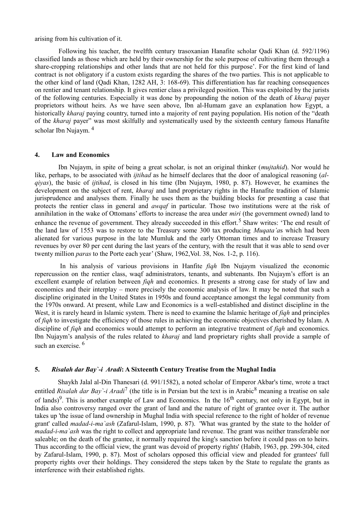#### arising from his cultivation of it.

 Following his teacher, the twelfth century trasoxanian Hanafite scholar Qadi Khan (d. 592/1196) classified lands as those which are held by their ownership for the sole purpose of cultivating them through a share-cropping relationships and other lands that are not held for this purpose'. For the first kind of land contract is not obligatory if a custom exists regarding the shares of the two parties. This is not applicable to the other kind of land (Qadi Khan, 1282 AH, 3: 168-69). This differentiation has far reaching consequences on rentier and tenant relationship. It gives rentier class a privileged position. This was exploited by the jurists of the following centuries. Especially it was done by propounding the notion of the death of *kharaj* payer proprietors without heirs. As we have seen above, Ibn al-Humam gave an explanation how Egypt, a historically *kharaj* paying country, turned into a majority of rent paying population. His notion of the "death of the *kharaj* payer" was most skilfully and systematically used by the sixteenth century famous Hanafite scholar Ibn Nujaym. <sup>4</sup>

#### **4. Law and Economics**

 Ibn Nujaym, in spite of being a great scholar, is not an original thinker (*mujtahid*). Nor would he like, perhaps, to be associated with *ijtihad* as he himself declares that the door of analogical reasoning (*alqiyas*), the basic of *ijtihad*, is closed in his time (Ibn Nujaym, 1980, p. 87). However, he examines the development on the subject of rent, *kharaj* and land proprietary rights in the Hanafite tradition of Islamic jurisprudence and analyses them. Finally he uses them as the building blocks for presenting a case that protects the rentier class in general and *awqaf* in particular. Those two institutions were at the risk of annihilation in the wake of Ottomans' efforts to increase the area under *miri* (the government owned) land to enhance the revenue of government. They already succeeded in this effort.<sup>5</sup> Shaw writes: 'The end result of the land law of 1553 was to restore to the Treasury some 300 tax producing *Muqata'a*s which had been alienated for various purpose in the late Mumluk and the early Ottoman times and to increase Treasury revenues by over 80 per cent during the last years of the century, with the result that it was able to send over twenty million *paras* to the Porte each year' (Shaw, 1962,Vol. 38, Nos. 1-2, p. 116).

 In his analysis of various provisions in Hanfite *fiqh* Ibn Nujaym visualized the economic repercussion on the rentier class, waqf administrators, tenants, and subtenants. Ibn Nujaym's effort is an excellent example of relation between *fiqh* and economics. It presents a strong case for study of law and economics and their interplay – more precisely the economic analysis of law. It may be noted that such a discipline originated in the United States in 1950s and found acceptance amongst the legal community from the 1970s onward. At present, while Law and Economics is a well-established and distinct discipline in the West, it is rarely heard in Islamic system. There is need to examine the Islamic heritage of *fiqh* and principles of *fiqh* to investigate the efficiency of those rules in achieving the economic objectives cherished by Islam. A discipline of *fiqh* and economics would attempt to perform an integrative treatment of *fiqh* and economics. Ibn Nujaym's analysis of the rules related to *kharaj* and land proprietary rights shall provide a sample of such an exercise. $6$ 

#### **5.** *Risalah dar Bay`-i Aradi***: A Sixteenth Century Treatise from the Mughal India**

 Shaykh Jalal al-Din Thanesari (d. 991/1582), a noted scholar of Emperor Akbar's time, wrote a tract entitled *Risalah dar Bay* '-*i Aradi*<sup>7</sup> (the title is in Persian but the text is in Arabic<sup>8</sup> meaning a treatise on sale of lands)<sup>9</sup>. This is another example of Law and Economics. In the  $16<sup>th</sup>$  century, not only in Egypt, but in India also controversy ranged over the grant of land and the nature of right of grantee over it. The author takes up 'the issue of land ownership in Mughal India with special reference to the right of holder of revenue grant' called *madad-i-ma`ash* (Zafarul-Islam, 1990, p. 87). 'What was granted by the state to the holder of *madad-i-ma`ash* was the right to collect and appropriate land revenue. The grant was neither transferable nor saleable; on the death of the grantee, it normally required the king's sanction before it could pass on to heirs. Thus according to the official view, the grant was devoid of property rights' (Habib, 1963, pp. 299-304, cited by Zafarul-Islam, 1990, p. 87). Most of scholars opposed this official view and pleaded for grantees' full property rights over their holdings. They considered the steps taken by the State to regulate the grants as interference with their established rights.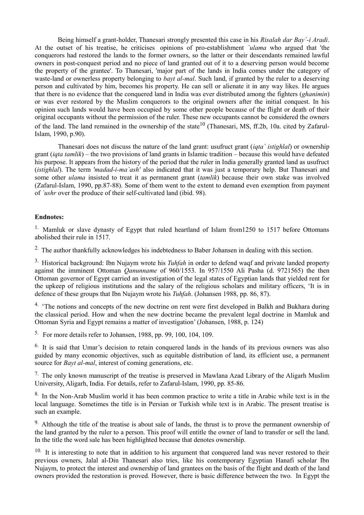Being himself a grant-holder, Thanesari strongly presented this case in his *Risalah dar Bay`-i Aradi*. At the outset of his treatise, he criticises opinions of pro-establishment *`ulama* who argued that 'the conquerors had restored the lands to the former owners, so the latter or their descendants remained lawful owners in post-conquest period and no piece of land granted out of it to a deserving person would become the property of the grantee'. To Thanesari, 'major part of the lands in India comes under the category of waste-land or ownerless property belonging to *bayt al-mal*. Such land, if granted by the ruler to a deserving person and cultivated by him, becomes his property. He can sell or alienate it in any way likes. He argues that there is no evidence that the conquered land in India was ever distributed among the fighters (*ghanimin*) or was ever restored by the Muslim conquerors to the original owners after the initial conquest. In his opinion such lands would have been occupied by some other people because of the flight or death of their original occupants without the permission of the ruler. These new occupants cannot be considered the owners of the land. The land remained in the ownership of the state<sup>10</sup> (Thanesari, MS, ff.2b, 10a. cited by Zafarul-Islam, 1990, p.90).

 Thanesari does not discuss the nature of the land grant: usufruct grant (*iqta` istighlal*) or ownership grant (*iqta tamlik*) – the two provisions of land grants in Islamic tradition – because this would have defeated his purpose. It appears from the history of the period that the ruler in India generally granted land as usufruct (*istighlal*). The term *'madad-i-ma`ash'* also indicated that it was just a temporary help. But Thanesari and some other *ulama* insisted to treat it as permanent grant (*tamlik*) because their own stake was involved (Zafarul-Islam, 1990, pp.87-88). Some of them went to the extent to demand even exemption from payment of *`ushr* over the produce of their self-cultivated land (ibid. 98).

#### **Endnotes:**

<sup>1.</sup> Mamluk or slave dynasty of Egypt that ruled heartland of Islam from 1250 to 1517 before Ottomans abolished their rule in 1517.

<sup>2.</sup> The author thankfully acknowledges his indebtedness to Baber Johansen in dealing with this section.

3. Historical background: Ibn Nujaym wrote his *Tuhfah* in order to defend waqf and private landed property against the imminent Ottoman *Qanunname* of 960/1553. In 957/1550 Ali Pasha (d. 9721565) the then Ottoman governor of Egypt carried an investigation of the legal states of Egyptian lands that yielded rent for the upkeep of religious institutions and the salary of the religious scholars and military officers, 'It is in defence of these groups that Ibn Nujaym wrote his *Tuhfah*. (Johansen 1988, pp. 86, 87).

<sup>4.</sup> 'The notions and concepts of the new doctrine on rent were first developed in Balkh and Bukhara during the classical period. How and when the new doctrine became the prevalent legal doctrine in Mamluk and Ottoman Syria and Egypt remains a matter of investigation' (Johansen, 1988, p. 124)

5. For more details refer to Johansen, 1988, pp. 99, 100, 104, 109.

<sup>6.</sup> It is said that Umar's decision to retain conquered lands in the hands of its previous owners was also guided by many economic objectives, such as equitable distribution of land, its efficient use, a permanent source for *Bayt al-mal*, interest of coming generations, etc.

<sup>7.</sup> The only known manuscript of the treatise is preserved in Mawlana Azad Library of the Aligarh Muslim University, Aligarh, India. For details, refer to Zafarul-Islam, 1990, pp. 85-86.

<sup>8.</sup> In the Non-Arab Muslim world it has been common practice to write a title in Arabic while text is in the local language. Sometimes the title is in Persian or Turkish while text is in Arabic. The present treatise is such an example.

<sup>9.</sup> Although the title of the treatise is about sale of lands, the thrust is to prove the permanent ownership of the land granted by the ruler to a person. This proof will entitle the owner of land to transfer or sell the land. In the title the word sale has been highlighted because that denotes ownership.

 $10.$  It is interesting to note that in addition to his argument that conquered land was never restored to their previous owners, Jalal al-Din Thanesari also tries, like his contemporary Egyptian Hanafi scholar Ibn Nujaym, to protect the interest and ownership of land grantees on the basis of the flight and death of the land owners provided the restoration is proved. However, there is basic difference between the two. In Egypt the